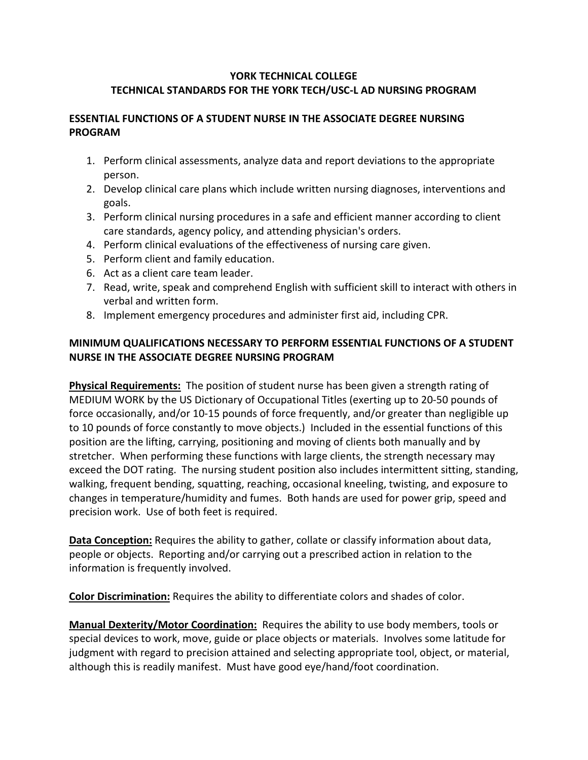## **YORK TECHNICAL COLLEGE TECHNICAL STANDARDS FOR THE YORK TECH/USC-L AD NURSING PROGRAM**

## **ESSENTIAL FUNCTIONS OF A STUDENT NURSE IN THE ASSOCIATE DEGREE NURSING PROGRAM**

- 1. Perform clinical assessments, analyze data and report deviations to the appropriate person.
- 2. Develop clinical care plans which include written nursing diagnoses, interventions and goals.
- 3. Perform clinical nursing procedures in a safe and efficient manner according to client care standards, agency policy, and attending physician's orders.
- 4. Perform clinical evaluations of the effectiveness of nursing care given.
- 5. Perform client and family education.
- 6. Act as a client care team leader.
- 7. Read, write, speak and comprehend English with sufficient skill to interact with others in verbal and written form.
- 8. Implement emergency procedures and administer first aid, including CPR.

## **MINIMUM QUALIFICATIONS NECESSARY TO PERFORM ESSENTIAL FUNCTIONS OF A STUDENT NURSE IN THE ASSOCIATE DEGREE NURSING PROGRAM**

**Physical Requirements:** The position of student nurse has been given a strength rating of MEDIUM WORK by the US Dictionary of Occupational Titles (exerting up to 20-50 pounds of force occasionally, and/or 10-15 pounds of force frequently, and/or greater than negligible up to 10 pounds of force constantly to move objects.) Included in the essential functions of this position are the lifting, carrying, positioning and moving of clients both manually and by stretcher. When performing these functions with large clients, the strength necessary may exceed the DOT rating. The nursing student position also includes intermittent sitting, standing, walking, frequent bending, squatting, reaching, occasional kneeling, twisting, and exposure to changes in temperature/humidity and fumes. Both hands are used for power grip, speed and precision work. Use of both feet is required.

**Data Conception:** Requires the ability to gather, collate or classify information about data, people or objects. Reporting and/or carrying out a prescribed action in relation to the information is frequently involved.

**Color Discrimination:** Requires the ability to differentiate colors and shades of color.

**Manual Dexterity/Motor Coordination:** Requires the ability to use body members, tools or special devices to work, move, guide or place objects or materials. Involves some latitude for judgment with regard to precision attained and selecting appropriate tool, object, or material, although this is readily manifest. Must have good eye/hand/foot coordination.